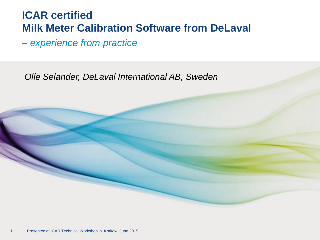#### **ICAR certified Milk Meter Calibration Software from DeLaval**

*– experience from practice*

*Olle Selander, DeLaval International AB, Sweden*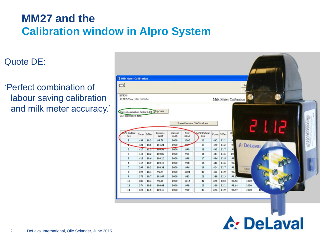# **MM27 and the Calibration window in Alpro System**

#### Quote DE:

'Perfect combination of labour saving calibration and milk meter accuracy.'



**A: DeLaval**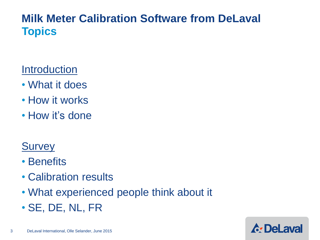### **Milk Meter Calibration Software from DeLaval Topics**

#### **Introduction**

- What it does
- How it works
- How it's done

### **Survey**

- Benefits
- Calibration results
- What experienced people think about it
- SE, DE, NL, FR

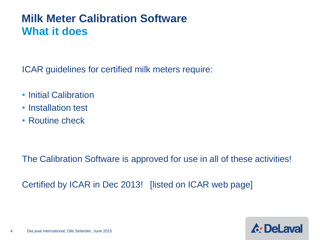### **Milk Meter Calibration Software What it does**

ICAR guidelines for certified milk meters require:

- Initial Calibration
- Installation test
- Routine check

The Calibration Software is approved for use in all of these activities!

Certified by ICAR in Dec 2013! [listed on ICAR web page]

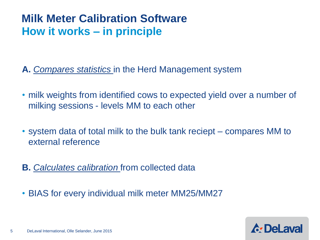### **Milk Meter Calibration Software How it works – in principle**

**A.** *Compares statistics* in the Herd Management system

- milk weights from identified cows to expected yield over a number of milking sessions - levels MM to each other
- system data of total milk to the bulk tank reciept compares MM to external reference
- **B.** *Calculates calibration* from collected data
- BIAS for every individual milk meter MM25/MM27

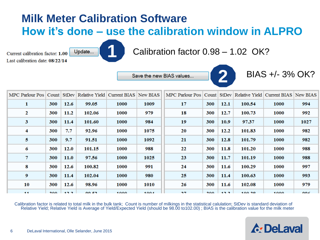# **Milk Meter Calibration Software How it's done – use the calibration window in ALPRO**

Current calibration factor: 1.00 Last calibration date: 08/22/14

**1** Update...

Calibration factor 0.98 – 1.02 OK?

Save the new BIAS values...



BIAS +/- 3% OK?

| MPC Parlour Pos   Count   StDev   Relative Yield   Current BIAS   New BIAS |     |       |              |             |      | MPC Parlour Pos   Count   StDev   Relative Yield   Current BIAS   New BIAS |     |       |        |             |      |
|----------------------------------------------------------------------------|-----|-------|--------------|-------------|------|----------------------------------------------------------------------------|-----|-------|--------|-------------|------|
| 1                                                                          | 300 | 12.6  | 99.05        | 1000        | 1009 | 17                                                                         | 300 | 12.1  | 100.54 | 1000        | 994  |
| 2                                                                          | 300 | 11.2  | 102.06       | 1000        | 979  | 18                                                                         | 300 | 12.7  | 100.73 | 1000        | 992  |
| 3                                                                          | 300 | 11.4  | 101.60       | <b>1000</b> | 984  | 19                                                                         | 300 | 10.9  | 97.37  | 1000        | 1027 |
| 4                                                                          | 300 | 7.7   | 92.96        | 1000        | 1075 | 20                                                                         | 300 | 12.2  | 101.83 | 1000        | 982  |
| 5                                                                          | 300 | 9.7   | 91.51        | 1000        | 1092 | 21                                                                         | 300 | 12.8  | 101.79 | <b>1000</b> | 982  |
| 6                                                                          | 300 | 12.0  | 101.15       | 1000        | 988  | 22                                                                         | 300 | 11.8  | 101.20 | 1000        | 988  |
| 7                                                                          | 300 | 11.0  | 97.56        | 1000        | 1025 | 23                                                                         | 300 | 11.7  | 101.19 | <b>1000</b> | 988  |
| 8                                                                          | 300 | 12.6  | 100.82       | 1000        | 991  | 24                                                                         | 300 | 11.6  | 100.29 | 1000        | 997  |
| 9                                                                          | 300 | 11.4  | 102.04       | 1000        | 980  | 25                                                                         | 300 | 11.4  | 100.63 | <b>1000</b> | 993  |
| 10                                                                         | 300 | 12.6  | 98.96        | <b>1000</b> | 1010 | 26                                                                         | 300 | 11.6  | 102.08 | 1000        | 979  |
| 41.41                                                                      | 200 | 10.00 | <b>OO EQ</b> | 1000        | 1004 | 7977                                                                       | 200 | 10.00 | 100.20 | 1000        | nne. |

Calibration factor is related to total milk in the bulk tank; Count is number of milkings in the statistical calulation; StDev is standard deviation of Relative Yield; Relative Yield is Average of Yield/Expected Yield (should be 98.00 to102.00) ; BIAS is the calibration value for the milk meter

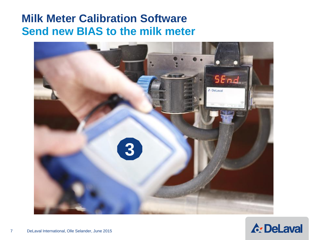### **Milk Meter Calibration Software Send new BIAS to the milk meter**



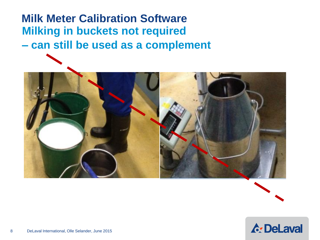# **Milk Meter Calibration Software Milking in buckets not required – can still be used as a complement**





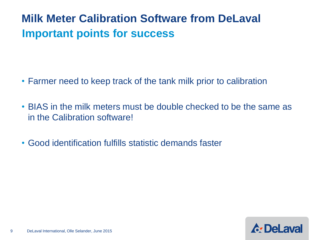# **Milk Meter Calibration Software from DeLaval Important points for success**

- Farmer need to keep track of the tank milk prior to calibration
- BIAS in the milk meters must be double checked to be the same as in the Calibration software!
- Good identification fulfills statistic demands faster

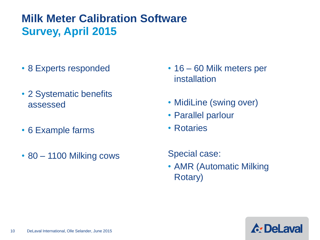# **Milk Meter Calibration Software Survey, April 2015**

- 8 Experts responded
- 2 Systematic benefits assessed
- 6 Example farms
- 80 1100 Milking cows
- 16 60 Milk meters per installation
- MidiLine (swing over)
- Parallel parlour
- Rotaries

Special case:

• AMR (Automatic Milking Rotary)

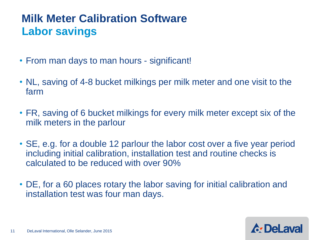# **Milk Meter Calibration Software Labor savings**

- From man days to man hours significant!
- NL, saving of 4-8 bucket milkings per milk meter and one visit to the farm
- FR, saving of 6 bucket milkings for every milk meter except six of the milk meters in the parlour
- SE, e.g. for a double 12 parlour the labor cost over a five year period including initial calibration, installation test and routine checks is calculated to be reduced with over 90%
- DE, for a 60 places rotary the labor saving for initial calibration and installation test was four man days.

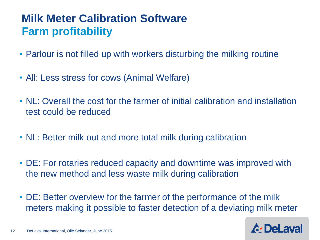# **Milk Meter Calibration Software Farm profitability**

- Parlour is not filled up with workers disturbing the milking routine
- All: Less stress for cows (Animal Welfare)
- NL: Overall the cost for the farmer of initial calibration and installation test could be reduced
- NL: Better milk out and more total milk during calibration
- DE: For rotaries reduced capacity and downtime was improved with the new method and less waste milk during calibration
- DE: Better overview for the farmer of the performance of the milk meters making it possible to faster detection of a deviating milk meter

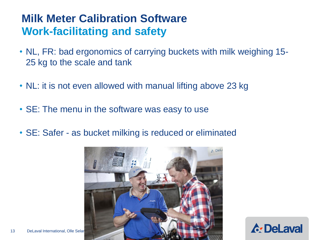### **Milk Meter Calibration Software Work-facilitating and safety**

- NL, FR: bad ergonomics of carrying buckets with milk weighing 15- 25 kg to the scale and tank
- NL: it is not even allowed with manual lifting above 23 kg
- SE: The menu in the software was easy to use
- SE: Safer as bucket milking is reduced or eliminated



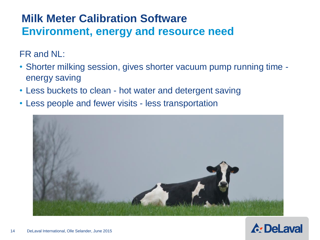## **Milk Meter Calibration Software Environment, energy and resource need**

FR and NL:

- Shorter milking session, gives shorter vacuum pump running time energy saving
- Less buckets to clean hot water and detergent saving
- Less people and fewer visits less transportation



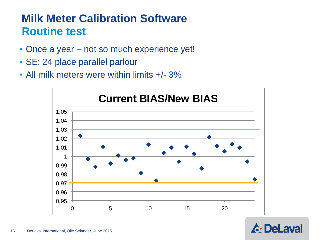# **Milk Meter Calibration Software Routine test**

- Once a year not so much experience yet!
- SE: 24 place parallel parlour
- All milk meters were within limits  $+/- 3\%$



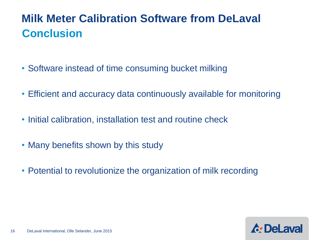# **Milk Meter Calibration Software from DeLaval Conclusion**

- Software instead of time consuming bucket milking
- Efficient and accuracy data continuously available for monitoring
- Initial calibration, installation test and routine check
- Many benefits shown by this study
- Potential to revolutionize the organization of milk recording